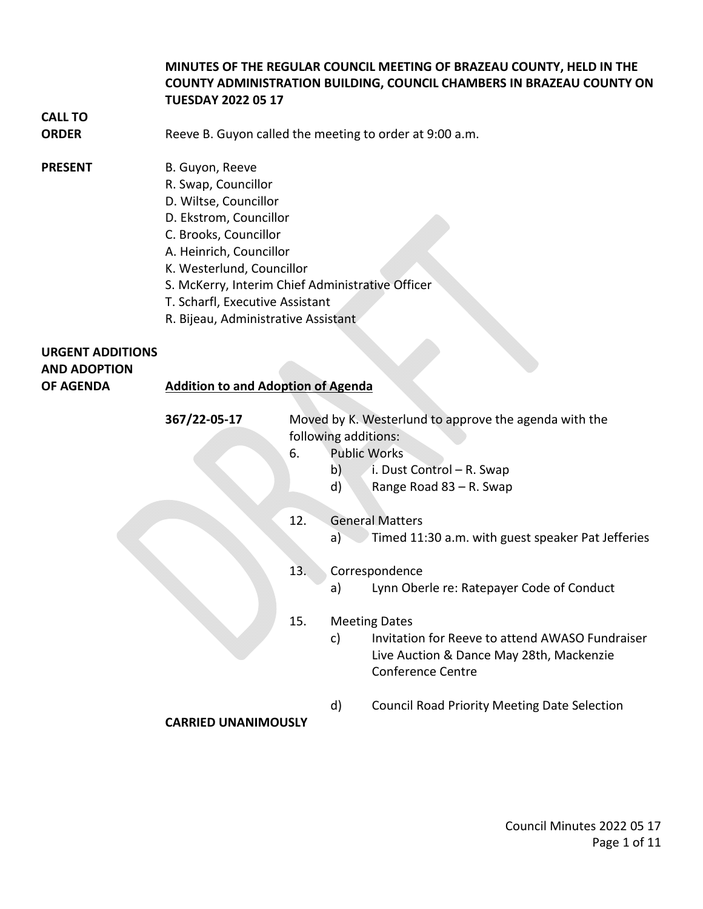# **MINUTES OF THE REGULAR COUNCIL MEETING OF BRAZEAU COUNTY, HELD IN THE COUNTY ADMINISTRATION BUILDING, COUNCIL CHAMBERS IN BRAZEAU COUNTY ON TUESDAY 2022 05 17**

# **CALL TO**

**ORDER** Reeve B. Guyon called the meeting to order at 9:00 a.m.

## **PRESENT** B. Guyon, Reeve

- R. Swap, Councillor
- D. Wiltse, Councillor
- D. Ekstrom, Councillor
- C. Brooks, Councillor
- A. Heinrich, Councillor
- K. Westerlund, Councillor
- S. McKerry, Interim Chief Administrative Officer
- T. Scharfl, Executive Assistant
- R. Bijeau, Administrative Assistant

# **URGENT ADDITIONS AND ADOPTION OF AGENDA Addition to and Adoption of Agenda 367/22-05-17** Moved by K. Westerlund to approve the agenda with the following additions: 6. Public Works b) i. Dust Control – R. Swap

- d) Range Road 83 R. Swap
- 12. General Matters
	- a) Timed 11:30 a.m. with guest speaker Pat Jefferies
- 13. Correspondence
	- a) Lynn Oberle re: Ratepayer Code of Conduct
- 15. Meeting Dates
	- c) Invitation for Reeve to attend AWASO Fundraiser Live Auction & Dance May 28th, Mackenzie Conference Centre
	- d) Council Road Priority Meeting Date Selection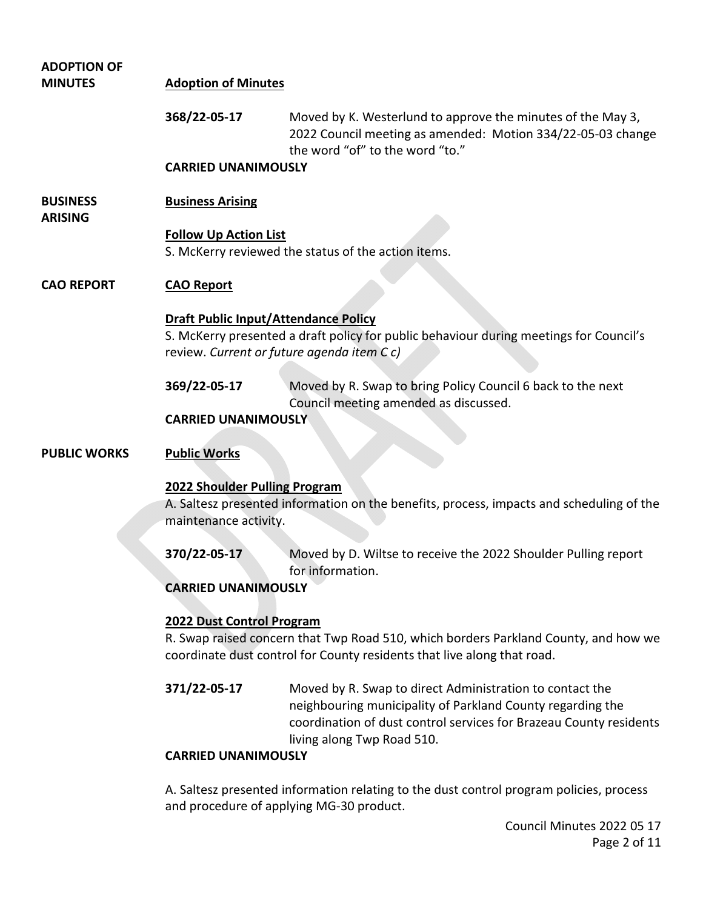| <b>ADOPTION OF</b>                |                                                                                          |                                                                                                                                                                                                                            |  |
|-----------------------------------|------------------------------------------------------------------------------------------|----------------------------------------------------------------------------------------------------------------------------------------------------------------------------------------------------------------------------|--|
| <b>MINUTES</b>                    | <b>Adoption of Minutes</b>                                                               |                                                                                                                                                                                                                            |  |
|                                   | 368/22-05-17                                                                             | Moved by K. Westerlund to approve the minutes of the May 3,<br>2022 Council meeting as amended: Motion 334/22-05-03 change<br>the word "of" to the word "to."                                                              |  |
|                                   | <b>CARRIED UNANIMOUSLY</b>                                                               |                                                                                                                                                                                                                            |  |
| <b>BUSINESS</b><br><b>ARISING</b> | <b>Business Arising</b>                                                                  |                                                                                                                                                                                                                            |  |
|                                   | <b>Follow Up Action List</b><br>S. McKerry reviewed the status of the action items.      |                                                                                                                                                                                                                            |  |
| <b>CAO REPORT</b>                 | <b>CAO Report</b>                                                                        |                                                                                                                                                                                                                            |  |
|                                   | <b>Draft Public Input/Attendance Policy</b>                                              |                                                                                                                                                                                                                            |  |
|                                   | review. Current or future agenda item Cc)                                                | S. McKerry presented a draft policy for public behaviour during meetings for Council's                                                                                                                                     |  |
|                                   |                                                                                          |                                                                                                                                                                                                                            |  |
|                                   | 369/22-05-17                                                                             | Moved by R. Swap to bring Policy Council 6 back to the next<br>Council meeting amended as discussed.                                                                                                                       |  |
|                                   | <b>CARRIED UNANIMOUSLY</b>                                                               |                                                                                                                                                                                                                            |  |
| <b>PUBLIC WORKS</b>               | <b>Public Works</b>                                                                      |                                                                                                                                                                                                                            |  |
|                                   | 2022 Shoulder Pulling Program                                                            |                                                                                                                                                                                                                            |  |
|                                   | A. Saltesz presented information on the benefits, process, impacts and scheduling of the |                                                                                                                                                                                                                            |  |
|                                   | maintenance activity.                                                                    |                                                                                                                                                                                                                            |  |
|                                   | 370/22-05-17                                                                             | Moved by D. Wiltse to receive the 2022 Shoulder Pulling report                                                                                                                                                             |  |
|                                   |                                                                                          | for information.                                                                                                                                                                                                           |  |
|                                   | <b>CARRIED UNANIMOUSLY</b>                                                               |                                                                                                                                                                                                                            |  |
|                                   | 2022 Dust Control Program                                                                |                                                                                                                                                                                                                            |  |
|                                   | R. Swap raised concern that Twp Road 510, which borders Parkland County, and how we      |                                                                                                                                                                                                                            |  |
|                                   | coordinate dust control for County residents that live along that road.                  |                                                                                                                                                                                                                            |  |
|                                   | 371/22-05-17                                                                             | Moved by R. Swap to direct Administration to contact the<br>neighbouring municipality of Parkland County regarding the<br>coordination of dust control services for Brazeau County residents<br>living along Twp Road 510. |  |
|                                   | <b>CARRIED UNANIMOUSLY</b>                                                               |                                                                                                                                                                                                                            |  |
|                                   | and procedure of applying MG-30 product.                                                 | A. Saltesz presented information relating to the dust control program policies, process                                                                                                                                    |  |

Council Minutes 2022 05 17 Page 2 of 11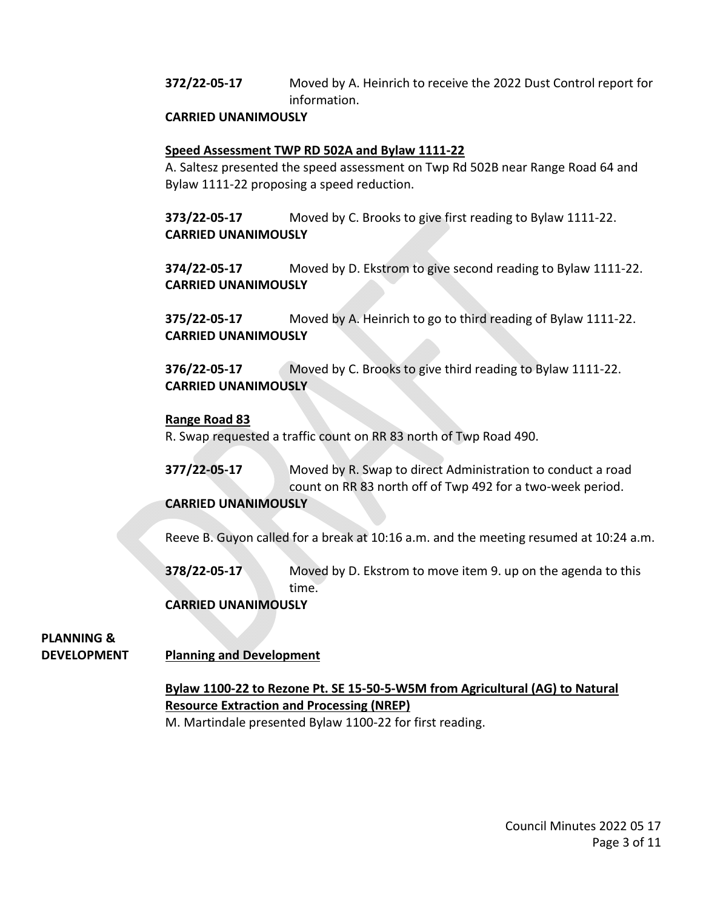**372/22-05-17** Moved by A. Heinrich to receive the 2022 Dust Control report for information.

## **CARRIED UNANIMOUSLY**

## **Speed Assessment TWP RD 502A and Bylaw 1111-22**

A. Saltesz presented the speed assessment on Twp Rd 502B near Range Road 64 and Bylaw 1111-22 proposing a speed reduction.

**373/22-05-17** Moved by C. Brooks to give first reading to Bylaw 1111-22. **CARRIED UNANIMOUSLY** 

**374/22-05-17** Moved by D. Ekstrom to give second reading to Bylaw 1111-22. **CARRIED UNANIMOUSLY** 

**375/22-05-17** Moved by A. Heinrich to go to third reading of Bylaw 1111-22. **CARRIED UNANIMOUSLY** 

**376/22-05-17** Moved by C. Brooks to give third reading to Bylaw 1111-22. **CARRIED UNANIMOUSLY** 

#### **Range Road 83**

R. Swap requested a traffic count on RR 83 north of Twp Road 490.

**377/22-05-17** Moved by R. Swap to direct Administration to conduct a road count on RR 83 north off of Twp 492 for a two-week period.

#### **CARRIED UNANIMOUSLY**

Reeve B. Guyon called for a break at 10:16 a.m. and the meeting resumed at 10:24 a.m.

**378/22-05-17** Moved by D. Ekstrom to move item 9. up on the agenda to this time.

## **CARRIED UNANIMOUSLY**

**PLANNING &**

## **DEVELOPMENT Planning and Development**

# **Bylaw 1100-22 to Rezone Pt. SE 15-50-5-W5M from Agricultural (AG) to Natural Resource Extraction and Processing (NREP)**

M. Martindale presented Bylaw 1100-22 for first reading.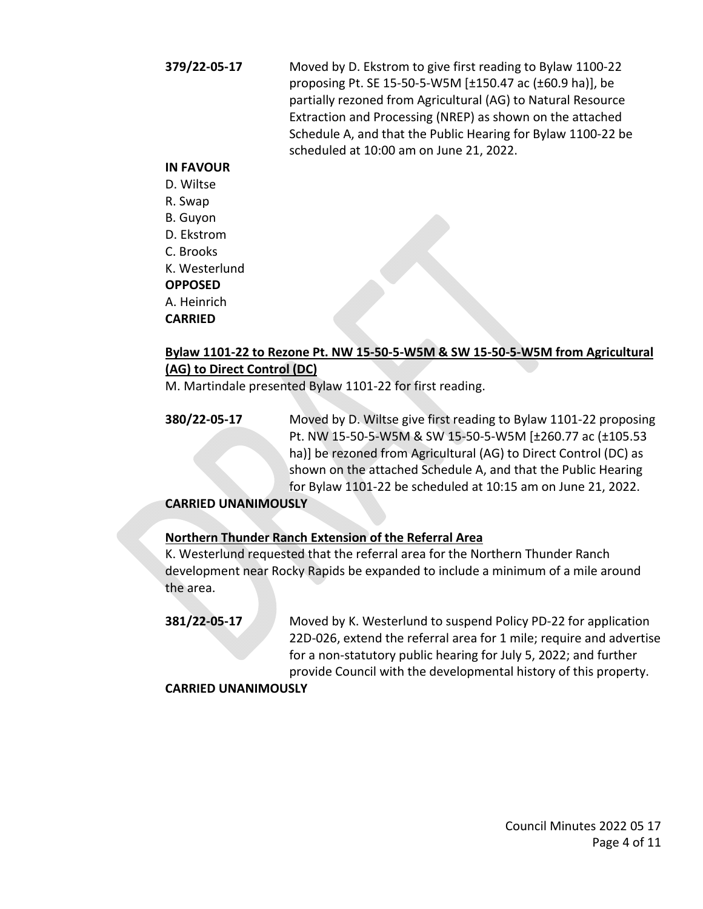**379/22-05-17** Moved by D. Ekstrom to give first reading to Bylaw 1100-22 proposing Pt. SE 15-50-5-W5M [±150.47 ac (±60.9 ha)], be partially rezoned from Agricultural (AG) to Natural Resource Extraction and Processing (NREP) as shown on the attached Schedule A, and that the Public Hearing for Bylaw 1100-22 be scheduled at 10:00 am on June 21, 2022.

#### **IN FAVOUR**

- D. Wiltse
- R. Swap
- B. Guyon
- D. Ekstrom
- C. Brooks
- K. Westerlund

## **OPPOSED**

A. Heinrich

# **CARRIED**

# **Bylaw 1101-22 to Rezone Pt. NW 15-50-5-W5M & SW 15-50-5-W5M from Agricultural (AG) to Direct Control (DC)**

M. Martindale presented Bylaw 1101-22 for first reading.

**380/22-05-17** Moved by D. Wiltse give first reading to Bylaw 1101-22 proposing Pt. NW 15-50-5-W5M & SW 15-50-5-W5M [±260.77 ac (±105.53 ha)] be rezoned from Agricultural (AG) to Direct Control (DC) as shown on the attached Schedule A, and that the Public Hearing for Bylaw 1101-22 be scheduled at 10:15 am on June 21, 2022.

# **CARRIED UNANIMOUSLY**

# **Northern Thunder Ranch Extension of the Referral Area**

K. Westerlund requested that the referral area for the Northern Thunder Ranch development near Rocky Rapids be expanded to include a minimum of a mile around the area.

**381/22-05-17** Moved by K. Westerlund to suspend Policy PD-22 for application 22D-026, extend the referral area for 1 mile; require and advertise for a non-statutory public hearing for July 5, 2022; and further provide Council with the developmental history of this property.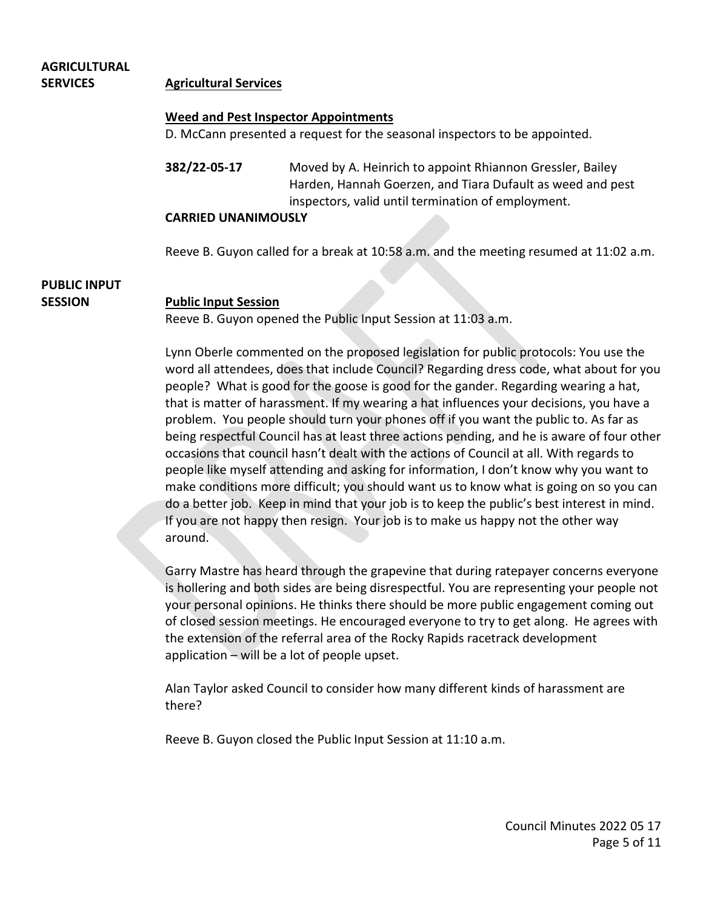#### **AGRICULTURAL SERVICES Agricultural Services**

#### **Weed and Pest Inspector Appointments**

D. McCann presented a request for the seasonal inspectors to be appointed.

**382/22-05-17** Moved by A. Heinrich to appoint Rhiannon Gressler, Bailey Harden, Hannah Goerzen, and Tiara Dufault as weed and pest inspectors, valid until termination of employment.

#### **CARRIED UNANIMOUSLY**

Reeve B. Guyon called for a break at 10:58 a.m. and the meeting resumed at 11:02 a.m.

# **PUBLIC INPUT**

#### **SESSION Public Input Session**

Reeve B. Guyon opened the Public Input Session at 11:03 a.m.

Lynn Oberle commented on the proposed legislation for public protocols: You use the word all attendees, does that include Council? Regarding dress code, what about for you people? What is good for the goose is good for the gander. Regarding wearing a hat, that is matter of harassment. If my wearing a hat influences your decisions, you have a problem. You people should turn your phones off if you want the public to. As far as being respectful Council has at least three actions pending, and he is aware of four other occasions that council hasn't dealt with the actions of Council at all. With regards to people like myself attending and asking for information, I don't know why you want to make conditions more difficult; you should want us to know what is going on so you can do a better job. Keep in mind that your job is to keep the public's best interest in mind. If you are not happy then resign. Your job is to make us happy not the other way around.

Garry Mastre has heard through the grapevine that during ratepayer concerns everyone is hollering and both sides are being disrespectful. You are representing your people not your personal opinions. He thinks there should be more public engagement coming out of closed session meetings. He encouraged everyone to try to get along. He agrees with the extension of the referral area of the Rocky Rapids racetrack development application – will be a lot of people upset.

Alan Taylor asked Council to consider how many different kinds of harassment are there?

Reeve B. Guyon closed the Public Input Session at 11:10 a.m.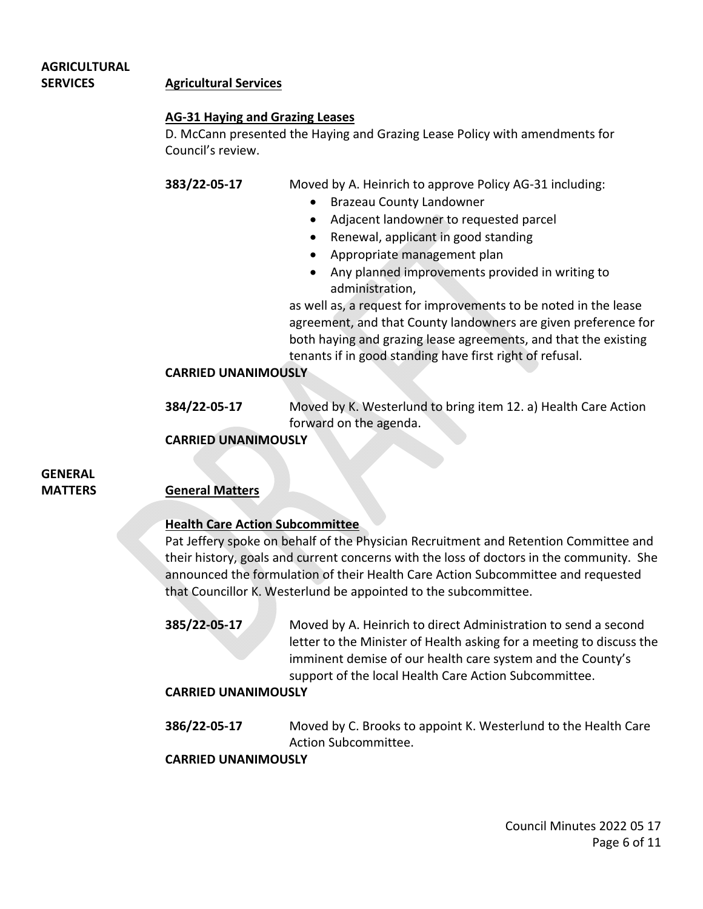# **AGRICULTURAL SERVICES Agricultural Services**

## **AG-31 Haying and Grazing Leases**

D. McCann presented the Haying and Grazing Lease Policy with amendments for Council's review.

**383/22-05-17** Moved by A. Heinrich to approve Policy AG-31 including:

- Brazeau County Landowner
- Adjacent landowner to requested parcel
- Renewal, applicant in good standing
- Appropriate management plan
- Any planned improvements provided in writing to administration,

as well as, a request for improvements to be noted in the lease agreement, and that County landowners are given preference for both haying and grazing lease agreements, and that the existing tenants if in good standing have first right of refusal.

# **CARRIED UNANIMOUSLY**

**384/22-05-17** Moved by K. Westerlund to bring item 12. a) Health Care Action forward on the agenda.

# **CARRIED UNANIMOUSLY**

# **GENERAL**

# **MATTERS General Matters**

# **Health Care Action Subcommittee**

Pat Jeffery spoke on behalf of the Physician Recruitment and Retention Committee and their history, goals and current concerns with the loss of doctors in the community. She announced the formulation of their Health Care Action Subcommittee and requested that Councillor K. Westerlund be appointed to the subcommittee.

**385/22-05-17** Moved by A. Heinrich to direct Administration to send a second letter to the Minister of Health asking for a meeting to discuss the imminent demise of our health care system and the County's support of the local Health Care Action Subcommittee.

# **CARRIED UNANIMOUSLY**

**386/22-05-17** Moved by C. Brooks to appoint K. Westerlund to the Health Care Action Subcommittee.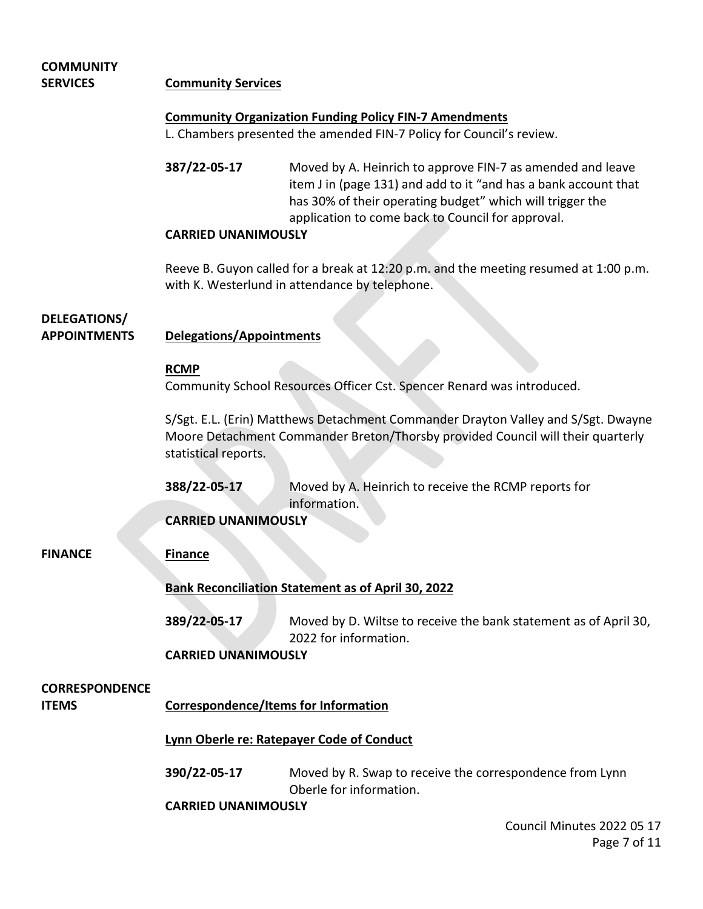# **COMMUNITY SERVICES Community Services Community Organization Funding Policy FIN-7 Amendments** L. Chambers presented the amended FIN-7 Policy for Council's review. **387/22-05-17** Moved by A. Heinrich to approve FIN-7 as amended and leave item J in (page 131) and add to it "and has a bank account that has 30% of their operating budget" which will trigger the application to come back to Council for approval. **CARRIED UNANIMOUSLY**  Reeve B. Guyon called for a break at 12:20 p.m. and the meeting resumed at 1:00 p.m. with K. Westerlund in attendance by telephone. **DELEGATIONS/ APPOINTMENTS Delegations/Appointments RCMP** Community School Resources Officer Cst. Spencer Renard was introduced. S/Sgt. E.L. (Erin) Matthews Detachment Commander Drayton Valley and S/Sgt. Dwayne Moore Detachment Commander Breton/Thorsby provided Council will their quarterly statistical reports. **388/22-05-17** Moved by A. Heinrich to receive the RCMP reports for information. **CARRIED UNANIMOUSLY FINANCE Finance Bank Reconciliation Statement as of April 30, 2022 389/22-05-17** Moved by D. Wiltse to receive the bank statement as of April 30, 2022 for information. **CARRIED UNANIMOUSLY CORRESPONDENCE ITEMS Correspondence/Items for Information Lynn Oberle re: Ratepayer Code of Conduct 390/22-05-17** Moved by R. Swap to receive the correspondence from Lynn Oberle for information. **CARRIED UNANIMOUSLY**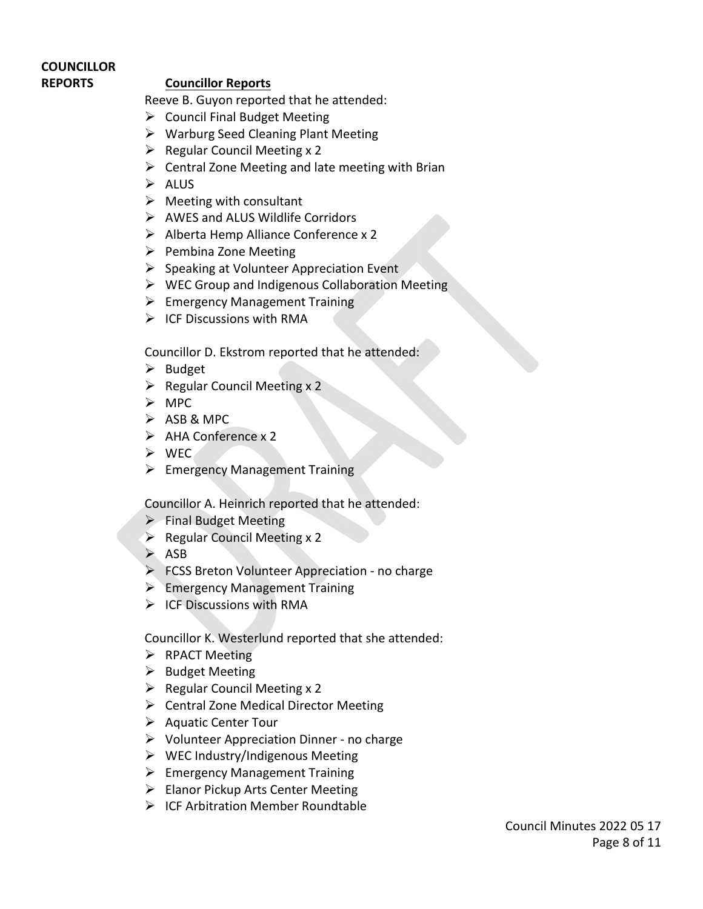# **COUNCILLOR**

# **REPORTS Councillor Reports**

Reeve B. Guyon reported that he attended:

- $\triangleright$  Council Final Budget Meeting
- $\triangleright$  Warburg Seed Cleaning Plant Meeting
- $\triangleright$  Regular Council Meeting x 2
- $\triangleright$  Central Zone Meeting and late meeting with Brian
- $\triangleright$  ALUS
- $\triangleright$  Meeting with consultant
- $\triangleright$  AWES and ALUS Wildlife Corridors
- $\triangleright$  Alberta Hemp Alliance Conference x 2
- $\triangleright$  Pembina Zone Meeting
- $\triangleright$  Speaking at Volunteer Appreciation Event
- $\triangleright$  WEC Group and Indigenous Collaboration Meeting
- $\triangleright$  Emergency Management Training
- $\triangleright$  ICF Discussions with RMA

Councillor D. Ekstrom reported that he attended:

- $\triangleright$  Budget
- $\triangleright$  Regular Council Meeting x 2
- $\triangleright$  MPC
- $\triangleright$  ASB & MPC
- $\triangleright$  AHA Conference x 2
- WEC
- $\triangleright$  Emergency Management Training

Councillor A. Heinrich reported that he attended:

- $\triangleright$  Final Budget Meeting
- $\triangleright$  Regular Council Meeting x 2
- $\triangleright$  ASB
- **FCSS Breton Volunteer Appreciation no charge**
- Emergency Management Training
- $\triangleright$  ICF Discussions with RMA

Councillor K. Westerlund reported that she attended:

- $\triangleright$  RPACT Meeting
- $\triangleright$  Budget Meeting
- $\triangleright$  Regular Council Meeting x 2
- $\triangleright$  Central Zone Medical Director Meeting
- $\triangleright$  Aquatic Center Tour
- $\triangleright$  Volunteer Appreciation Dinner no charge
- $\triangleright$  WEC Industry/Indigenous Meeting
- $\triangleright$  Emergency Management Training
- $\triangleright$  Elanor Pickup Arts Center Meeting
- $\triangleright$  ICF Arbitration Member Roundtable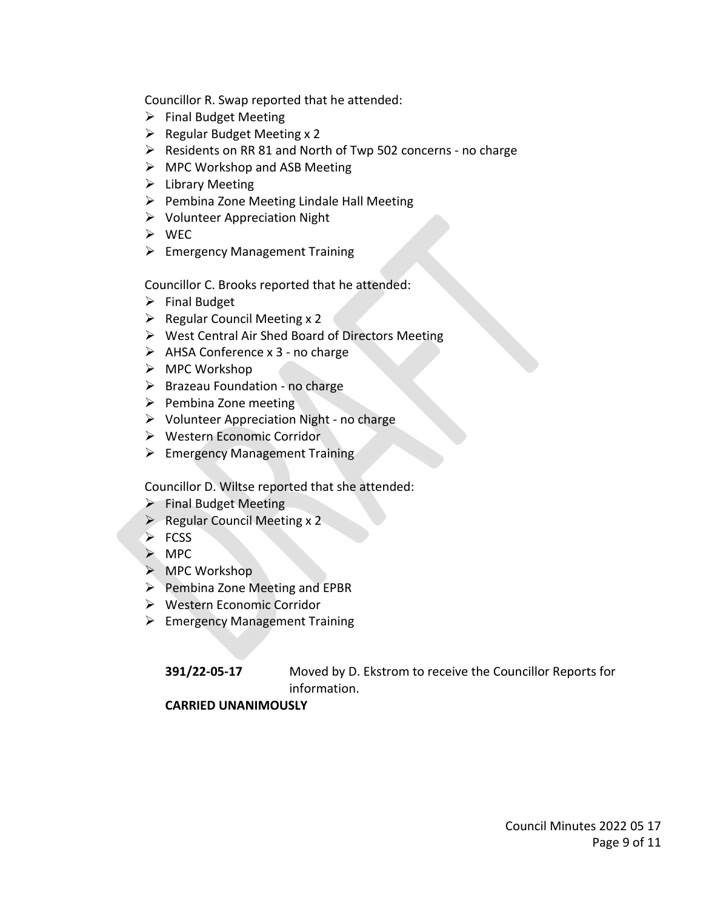Councillor R. Swap reported that he attended:

- $\triangleright$  Final Budget Meeting
- $\triangleright$  Regular Budget Meeting x 2
- $\triangleright$  Residents on RR 81 and North of Twp 502 concerns no charge
- $\triangleright$  MPC Workshop and ASB Meeting
- $\triangleright$  Library Meeting
- $\triangleright$  Pembina Zone Meeting Lindale Hall Meeting
- $\triangleright$  Volunteer Appreciation Night
- WEC
- $\triangleright$  Emergency Management Training

Councillor C. Brooks reported that he attended:

- $\triangleright$  Final Budget
- $\triangleright$  Regular Council Meeting x 2
- West Central Air Shed Board of Directors Meeting
- $\triangleright$  AHSA Conference x 3 no charge
- $\triangleright$  MPC Workshop
- $\triangleright$  Brazeau Foundation no charge
- $\triangleright$  Pembina Zone meeting
- $\triangleright$  Volunteer Appreciation Night no charge
- Western Economic Corridor
- $\triangleright$  Emergency Management Training

Councillor D. Wiltse reported that she attended:

- $\triangleright$  Final Budget Meeting
- $\triangleright$  Regular Council Meeting x 2
- $\triangleright$  FCSS
- $>$  MPC
- $\triangleright$  MPC Workshop
- $\triangleright$  Pembina Zone Meeting and EPBR
- Western Economic Corridor
- $\triangleright$  Emergency Management Training

**391/22-05-17** Moved by D. Ekstrom to receive the Councillor Reports for information.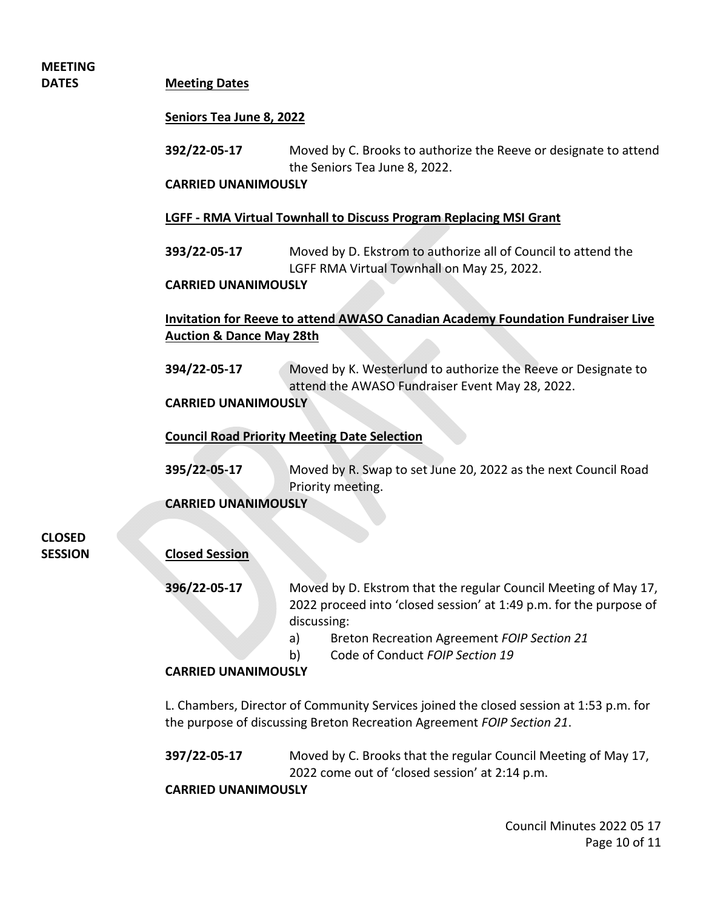# **MEETING**

#### **DATES Meeting Dates**

#### **Seniors Tea June 8, 2022**

**392/22-05-17** Moved by C. Brooks to authorize the Reeve or designate to attend the Seniors Tea June 8, 2022.

#### **CARRIED UNANIMOUSLY**

#### **LGFF - RMA Virtual Townhall to Discuss Program Replacing MSI Grant**

**393/22-05-17** Moved by D. Ekstrom to authorize all of Council to attend the LGFF RMA Virtual Townhall on May 25, 2022.

#### **CARRIED UNANIMOUSLY**

# **Invitation for Reeve to attend AWASO Canadian Academy Foundation Fundraiser Live Auction & Dance May 28th**

**394/22-05-17** Moved by K. Westerlund to authorize the Reeve or Designate to attend the AWASO Fundraiser Event May 28, 2022.

# **CARRIED UNANIMOUSLY**

#### **Council Road Priority Meeting Date Selection**

**395/22-05-17** Moved by R. Swap to set June 20, 2022 as the next Council Road Priority meeting.

## **CARRIED UNANIMOUSLY**

**CLOSED**

## **SESSION Closed Session**

**396/22-05-17** Moved by D. Ekstrom that the regular Council Meeting of May 17, 2022 proceed into 'closed session' at 1:49 p.m. for the purpose of discussing:

- a) Breton Recreation Agreement *FOIP Section 21*
- b) Code of Conduct *FOIP Section 19*

# **CARRIED UNANIMOUSLY**

L. Chambers, Director of Community Services joined the closed session at 1:53 p.m. for the purpose of discussing Breton Recreation Agreement *FOIP Section 21*.

**397/22-05-17** Moved by C. Brooks that the regular Council Meeting of May 17, 2022 come out of 'closed session' at 2:14 p.m.